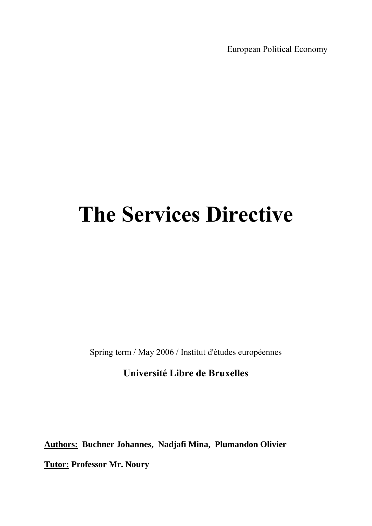European Political Economy

## **The Services Directive**

Spring term / May 2006 / Institut d'études européennes

## **Université Libre de Bruxelles**

**Authors: Buchner Johannes, Nadjafi Mina, Plumandon Olivier**

**Tutor: Professor Mr. Noury**